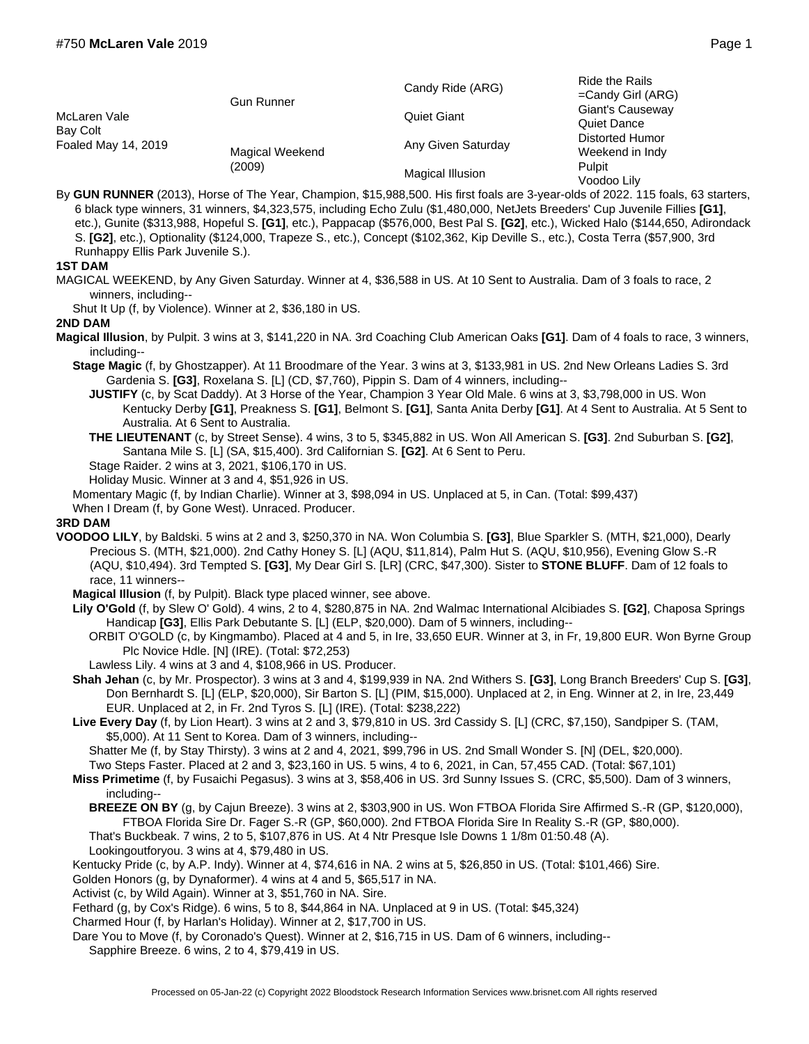| McLaren Vale<br>Bay Colt<br>Foaled May 14, 2019 | <b>Gun Runner</b>         | Candy Ride (ARG)   | Ride the Rails<br>$=$ Candy Girl (ARG) |
|-------------------------------------------------|---------------------------|--------------------|----------------------------------------|
|                                                 |                           | <b>Quiet Giant</b> | Giant's Causeway<br>Quiet Dance        |
|                                                 | Magical Weekend<br>(2009) | Any Given Saturday | Distorted Humor<br>Weekend in Indy     |
|                                                 |                           | Magical Illusion   | Pulpit<br>Voodoo Lily                  |

By **GUN RUNNER** (2013), Horse of The Year, Champion, \$15,988,500. His first foals are 3-year-olds of 2022. 115 foals, 63 starters, 6 black type winners, 31 winners, \$4,323,575, including Echo Zulu (\$1,480,000, NetJets Breeders' Cup Juvenile Fillies **[G1]**, etc.), Gunite (\$313,988, Hopeful S. **[G1]**, etc.), Pappacap (\$576,000, Best Pal S. **[G2]**, etc.), Wicked Halo (\$144,650, Adirondack S. **[G2]**, etc.), Optionality (\$124,000, Trapeze S., etc.), Concept (\$102,362, Kip Deville S., etc.), Costa Terra (\$57,900, 3rd Runhappy Ellis Park Juvenile S.).

## **1ST DAM**

MAGICAL WEEKEND, by Any Given Saturday. Winner at 4, \$36,588 in US. At 10 Sent to Australia. Dam of 3 foals to race, 2 winners, including--

Shut It Up (f, by Violence). Winner at 2, \$36,180 in US.

## **2ND DAM**

- **Magical Illusion**, by Pulpit. 3 wins at 3, \$141,220 in NA. 3rd Coaching Club American Oaks **[G1]**. Dam of 4 foals to race, 3 winners, including--
	- **Stage Magic** (f, by Ghostzapper). At 11 Broodmare of the Year. 3 wins at 3, \$133,981 in US. 2nd New Orleans Ladies S. 3rd Gardenia S. **[G3]**, Roxelana S. [L] (CD, \$7,760), Pippin S. Dam of 4 winners, including--
		- **JUSTIFY** (c, by Scat Daddy). At 3 Horse of the Year, Champion 3 Year Old Male. 6 wins at 3, \$3,798,000 in US. Won Kentucky Derby **[G1]**, Preakness S. **[G1]**, Belmont S. **[G1]**, Santa Anita Derby **[G1]**. At 4 Sent to Australia. At 5 Sent to Australia. At 6 Sent to Australia.
		- **THE LIEUTENANT** (c, by Street Sense). 4 wins, 3 to 5, \$345,882 in US. Won All American S. **[G3]**. 2nd Suburban S. **[G2]**, Santana Mile S. [L] (SA, \$15,400). 3rd Californian S. **[G2]**. At 6 Sent to Peru.
		- Stage Raider. 2 wins at 3, 2021, \$106,170 in US.
		- Holiday Music. Winner at 3 and 4, \$51,926 in US.
	- Momentary Magic (f, by Indian Charlie). Winner at 3, \$98,094 in US. Unplaced at 5, in Can. (Total: \$99,437)
	- When I Dream (f, by Gone West). Unraced. Producer.

## **3RD DAM**

- **VOODOO LILY**, by Baldski. 5 wins at 2 and 3, \$250,370 in NA. Won Columbia S. **[G3]**, Blue Sparkler S. (MTH, \$21,000), Dearly Precious S. (MTH, \$21,000). 2nd Cathy Honey S. [L] (AQU, \$11,814), Palm Hut S. (AQU, \$10,956), Evening Glow S.-R (AQU, \$10,494). 3rd Tempted S. **[G3]**, My Dear Girl S. [LR] (CRC, \$47,300). Sister to **STONE BLUFF**. Dam of 12 foals to race, 11 winners--
	- **Magical Illusion** (f, by Pulpit). Black type placed winner, see above.
	- **Lily O'Gold** (f, by Slew O' Gold). 4 wins, 2 to 4, \$280,875 in NA. 2nd Walmac International Alcibiades S. **[G2]**, Chaposa Springs Handicap **[G3]**, Ellis Park Debutante S. [L] (ELP, \$20,000). Dam of 5 winners, including--
		- ORBIT O'GOLD (c, by Kingmambo). Placed at 4 and 5, in Ire, 33,650 EUR. Winner at 3, in Fr, 19,800 EUR. Won Byrne Group Plc Novice Hdle. [N] (IRE). (Total: \$72,253)
	- Lawless Lily. 4 wins at 3 and 4, \$108,966 in US. Producer.
	- **Shah Jehan** (c, by Mr. Prospector). 3 wins at 3 and 4, \$199,939 in NA. 2nd Withers S. **[G3]**, Long Branch Breeders' Cup S. **[G3]**, Don Bernhardt S. [L] (ELP, \$20,000), Sir Barton S. [L] (PIM, \$15,000). Unplaced at 2, in Eng. Winner at 2, in Ire, 23,449 EUR. Unplaced at 2, in Fr. 2nd Tyros S. [L] (IRE). (Total: \$238,222)
	- **Live Every Day** (f, by Lion Heart). 3 wins at 2 and 3, \$79,810 in US. 3rd Cassidy S. [L] (CRC, \$7,150), Sandpiper S. (TAM, \$5,000). At 11 Sent to Korea. Dam of 3 winners, including--
		- Shatter Me (f, by Stay Thirsty). 3 wins at 2 and 4, 2021, \$99,796 in US. 2nd Small Wonder S. [N] (DEL, \$20,000).

Two Steps Faster. Placed at 2 and 3, \$23,160 in US. 5 wins, 4 to 6, 2021, in Can, 57,455 CAD. (Total: \$67,101)

- **Miss Primetime** (f, by Fusaichi Pegasus). 3 wins at 3, \$58,406 in US. 3rd Sunny Issues S. (CRC, \$5,500). Dam of 3 winners, including--
	- **BREEZE ON BY** (g, by Cajun Breeze). 3 wins at 2, \$303,900 in US. Won FTBOA Florida Sire Affirmed S.-R (GP, \$120,000), FTBOA Florida Sire Dr. Fager S.-R (GP, \$60,000). 2nd FTBOA Florida Sire In Reality S.-R (GP, \$80,000).

That's Buckbeak. 7 wins, 2 to 5, \$107,876 in US. At 4 Ntr Presque Isle Downs 1 1/8m 01:50.48 (A). Lookingoutforyou. 3 wins at 4, \$79,480 in US.

Kentucky Pride (c, by A.P. Indy). Winner at 4, \$74,616 in NA. 2 wins at 5, \$26,850 in US. (Total: \$101,466) Sire.

Golden Honors (g, by Dynaformer). 4 wins at 4 and 5, \$65,517 in NA.

Activist (c, by Wild Again). Winner at 3, \$51,760 in NA. Sire.

Fethard (g, by Cox's Ridge). 6 wins, 5 to 8, \$44,864 in NA. Unplaced at 9 in US. (Total: \$45,324)

Charmed Hour (f, by Harlan's Holiday). Winner at 2, \$17,700 in US.

Dare You to Move (f, by Coronado's Quest). Winner at 2, \$16,715 in US. Dam of 6 winners, including-- Sapphire Breeze. 6 wins, 2 to 4, \$79,419 in US.